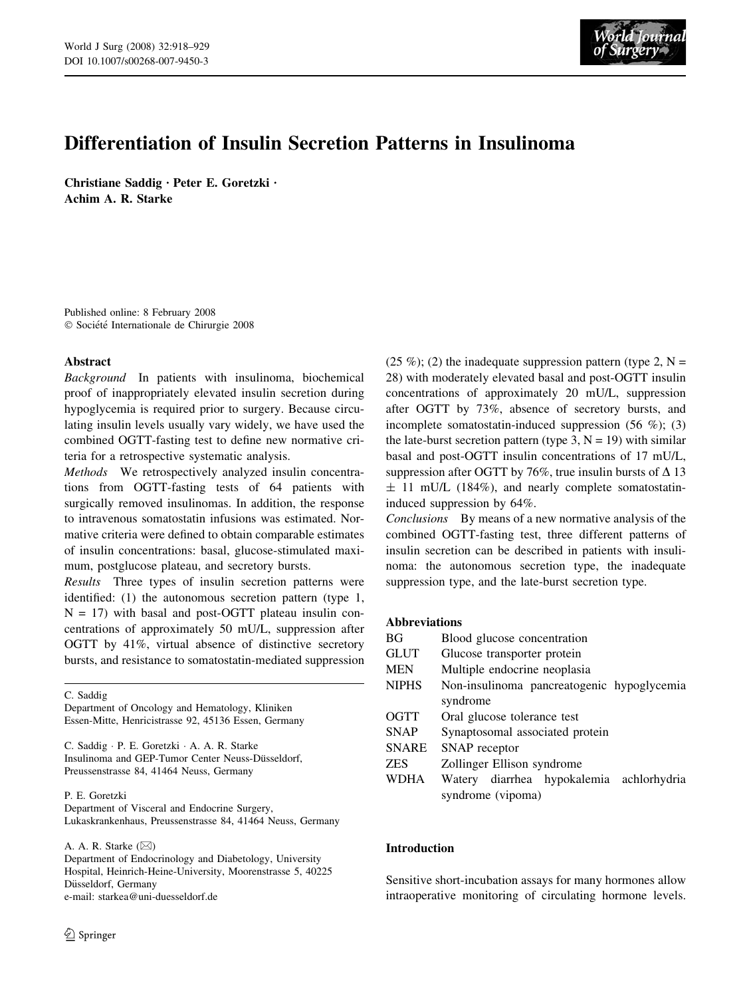

# Differentiation of Insulin Secretion Patterns in Insulinoma

Christiane Saddig · Peter E. Goretzki · Achim A. R. Starke

Published online: 8 February 2008  $© Société Internationale de Chirurgie 2008$ 

# Abstract

Background In patients with insulinoma, biochemical proof of inappropriately elevated insulin secretion during hypoglycemia is required prior to surgery. Because circulating insulin levels usually vary widely, we have used the combined OGTT-fasting test to define new normative criteria for a retrospective systematic analysis.

Methods We retrospectively analyzed insulin concentrations from OGTT-fasting tests of 64 patients with surgically removed insulinomas. In addition, the response to intravenous somatostatin infusions was estimated. Normative criteria were defined to obtain comparable estimates of insulin concentrations: basal, glucose-stimulated maximum, postglucose plateau, and secretory bursts.

Results Three types of insulin secretion patterns were identified: (1) the autonomous secretion pattern (type 1,  $N = 17$ ) with basal and post-OGTT plateau insulin concentrations of approximately 50 mU/L, suppression after OGTT by 41%, virtual absence of distinctive secretory bursts, and resistance to somatostatin-mediated suppression

C. Saddig

Department of Oncology and Hematology, Kliniken Essen-Mitte, Henricistrasse 92, 45136 Essen, Germany

C. Saddig · P. E. Goretzki · A. A. R. Starke Insulinoma and GEP-Tumor Center Neuss-Düsseldorf, Preussenstrasse 84, 41464 Neuss, Germany

#### P. E. Goretzki

Department of Visceral and Endocrine Surgery, Lukaskrankenhaus, Preussenstrasse 84, 41464 Neuss, Germany

A. A. R. Starke  $(\boxtimes)$ 

Department of Endocrinology and Diabetology, University Hospital, Heinrich-Heine-University, Moorenstrasse 5, 40225 Düsseldorf, Germany e-mail: starkea@uni-duesseldorf.de

(25 %); (2) the inadequate suppression pattern (type 2,  $N =$ 28) with moderately elevated basal and post-OGTT insulin concentrations of approximately 20 mU/L, suppression after OGTT by 73%, absence of secretory bursts, and incomplete somatostatin-induced suppression (56 %); (3) the late-burst secretion pattern (type 3,  $N = 19$ ) with similar basal and post-OGTT insulin concentrations of 17 mU/L, suppression after OGTT by 76%, true insulin bursts of  $\Delta$  13  $\pm$  11 mU/L (184%), and nearly complete somatostatininduced suppression by 64%.

Conclusions By means of a new normative analysis of the combined OGTT-fasting test, three different patterns of insulin secretion can be described in patients with insulinoma: the autonomous secretion type, the inadequate suppression type, and the late-burst secretion type.

# Abbreviations

| BG           | Blood glucose concentration                 |
|--------------|---------------------------------------------|
| <b>GLUT</b>  | Glucose transporter protein                 |
| <b>MEN</b>   | Multiple endocrine neoplasia                |
| <b>NIPHS</b> | Non-insulinoma pancreatogenic hypoglycemia  |
|              | syndrome                                    |
| OGTT         | Oral glucose tolerance test                 |
| <b>SNAP</b>  | Synaptosomal associated protein             |
| <b>SNARE</b> | SNAP receptor                               |
| <b>ZES</b>   | Zollinger Ellison syndrome                  |
| <b>WDHA</b>  | Watery diarrhea hypokalemia<br>achlorhydria |
|              | syndrome (vipoma)                           |
|              |                                             |

# Introduction

Sensitive short-incubation assays for many hormones allow intraoperative monitoring of circulating hormone levels.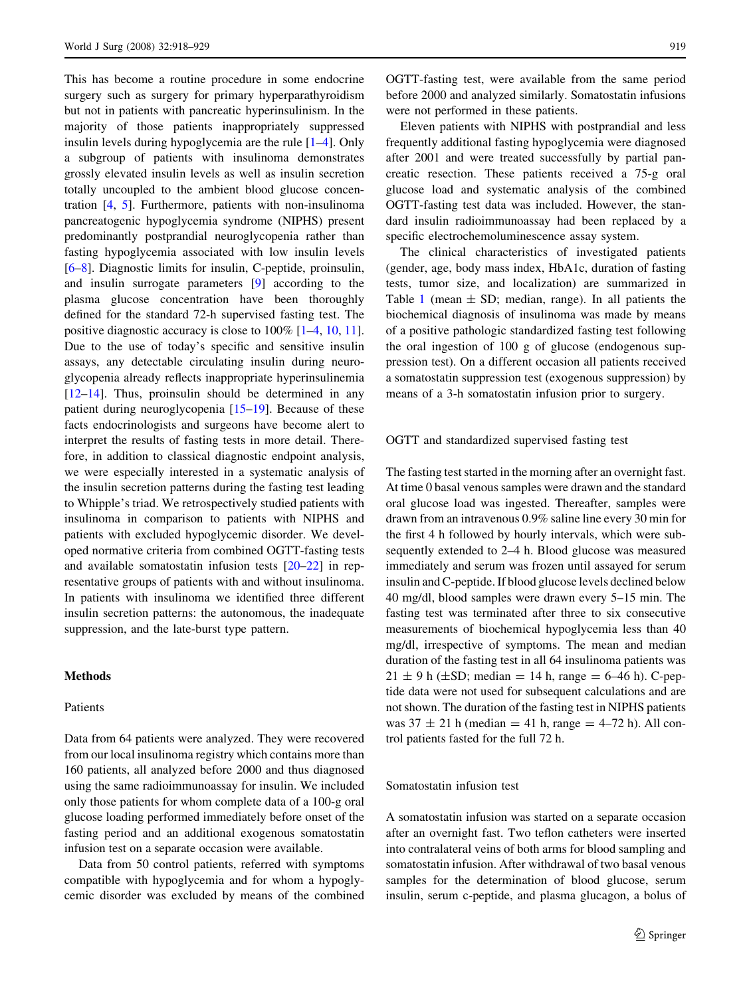This has become a routine procedure in some endocrine surgery such as surgery for primary hyperparathyroidism but not in patients with pancreatic hyperinsulinism. In the majority of those patients inappropriately suppressed insulin levels during hypoglycemia are the rule [[1–4\]](#page-10-0). Only a subgroup of patients with insulinoma demonstrates grossly elevated insulin levels as well as insulin secretion totally uncoupled to the ambient blood glucose concentration [[4,](#page-10-0) [5\]](#page-10-0). Furthermore, patients with non-insulinoma pancreatogenic hypoglycemia syndrome (NIPHS) present predominantly postprandial neuroglycopenia rather than fasting hypoglycemia associated with low insulin levels [\[6–8](#page-10-0)]. Diagnostic limits for insulin, C-peptide, proinsulin, and insulin surrogate parameters [\[9](#page-10-0)] according to the plasma glucose concentration have been thoroughly defined for the standard 72-h supervised fasting test. The positive diagnostic accuracy is close to 100% [\[1–4](#page-10-0), [10](#page-10-0), [11](#page-10-0)]. Due to the use of today's specific and sensitive insulin assays, any detectable circulating insulin during neuroglycopenia already reflects inappropriate hyperinsulinemia  $[12-14]$ . Thus, proinsulin should be determined in any patient during neuroglycopenia [\[15–19](#page-10-0)]. Because of these facts endocrinologists and surgeons have become alert to interpret the results of fasting tests in more detail. Therefore, in addition to classical diagnostic endpoint analysis, we were especially interested in a systematic analysis of the insulin secretion patterns during the fasting test leading to Whipple's triad. We retrospectively studied patients with insulinoma in comparison to patients with NIPHS and patients with excluded hypoglycemic disorder. We developed normative criteria from combined OGTT-fasting tests and available somatostatin infusion tests [\[20–22](#page-10-0)] in representative groups of patients with and without insulinoma. In patients with insulinoma we identified three different insulin secretion patterns: the autonomous, the inadequate suppression, and the late-burst type pattern.

# Methods

#### Patients

Data from 64 patients were analyzed. They were recovered from our local insulinoma registry which contains more than 160 patients, all analyzed before 2000 and thus diagnosed using the same radioimmunoassay for insulin. We included only those patients for whom complete data of a 100-g oral glucose loading performed immediately before onset of the fasting period and an additional exogenous somatostatin infusion test on a separate occasion were available.

Data from 50 control patients, referred with symptoms compatible with hypoglycemia and for whom a hypoglycemic disorder was excluded by means of the combined OGTT-fasting test, were available from the same period before 2000 and analyzed similarly. Somatostatin infusions were not performed in these patients.

Eleven patients with NIPHS with postprandial and less frequently additional fasting hypoglycemia were diagnosed after 2001 and were treated successfully by partial pancreatic resection. These patients received a 75-g oral glucose load and systematic analysis of the combined OGTT-fasting test data was included. However, the standard insulin radioimmunoassay had been replaced by a specific electrochemoluminescence assay system.

The clinical characteristics of investigated patients (gender, age, body mass index, HbA1c, duration of fasting tests, tumor size, and localization) are summarized in Table [1](#page-2-0) (mean  $\pm$  SD; median, range). In all patients the biochemical diagnosis of insulinoma was made by means of a positive pathologic standardized fasting test following the oral ingestion of 100 g of glucose (endogenous suppression test). On a different occasion all patients received a somatostatin suppression test (exogenous suppression) by means of a 3-h somatostatin infusion prior to surgery.

#### OGTT and standardized supervised fasting test

The fasting test started in the morning after an overnight fast. At time 0 basal venous samples were drawn and the standard oral glucose load was ingested. Thereafter, samples were drawn from an intravenous 0.9% saline line every 30 min for the first 4 h followed by hourly intervals, which were subsequently extended to 2–4 h. Blood glucose was measured immediately and serum was frozen until assayed for serum insulin and C-peptide. If blood glucose levels declined below 40 mg/dl, blood samples were drawn every 5–15 min. The fasting test was terminated after three to six consecutive measurements of biochemical hypoglycemia less than 40 mg/dl, irrespective of symptoms. The mean and median duration of the fasting test in all 64 insulinoma patients was  $21 \pm 9$  h ( $\pm$ SD; median = 14 h, range = 6–46 h). C-peptide data were not used for subsequent calculations and are not shown. The duration of the fasting test in NIPHS patients was  $37 \pm 21$  h (median = 41 h, range = 4–72 h). All control patients fasted for the full 72 h.

## Somatostatin infusion test

A somatostatin infusion was started on a separate occasion after an overnight fast. Two teflon catheters were inserted into contralateral veins of both arms for blood sampling and somatostatin infusion. After withdrawal of two basal venous samples for the determination of blood glucose, serum insulin, serum c-peptide, and plasma glucagon, a bolus of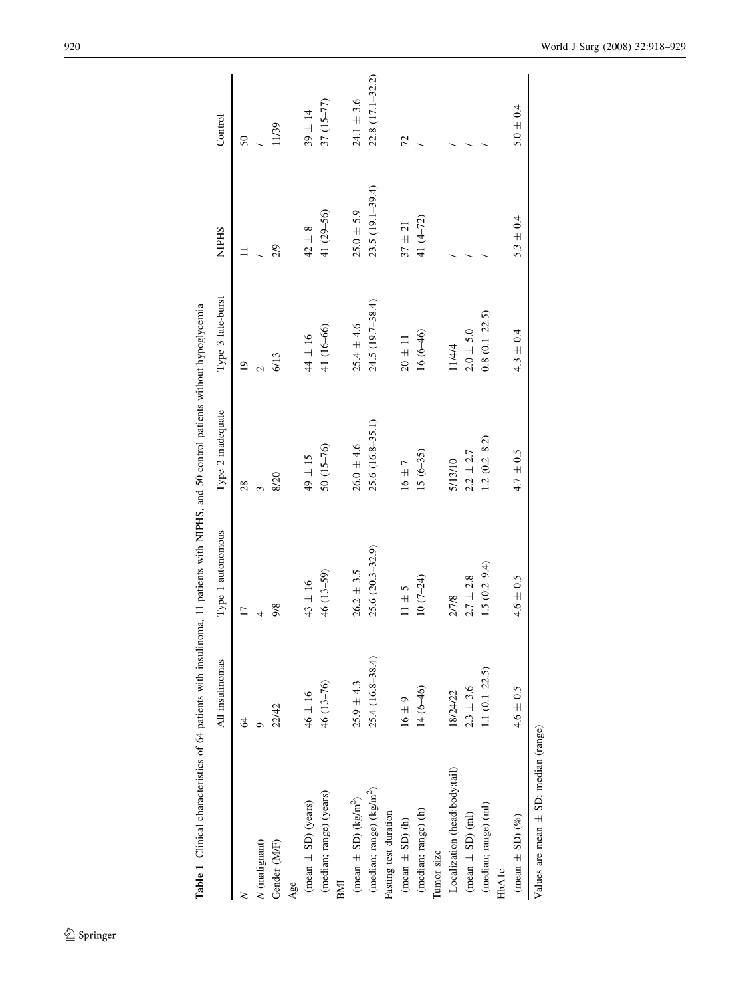<span id="page-2-0"></span>

| THE CHARGE CHARGES IS NOT THE CONTRACTED AND THE CONTRACTED AND THE CONTRACTED AND THE CONTRACTED AND THE CONTRACTED AND THE CONTRACTED AND THE CONTRACTED AND THE CONTRACTED AND THE CONTRACTED AND THE CONTRACTED AND THE CO |                    |                     |                   |                   |                  |                  |
|--------------------------------------------------------------------------------------------------------------------------------------------------------------------------------------------------------------------------------|--------------------|---------------------|-------------------|-------------------|------------------|------------------|
|                                                                                                                                                                                                                                | All insulinomas    | Type 1 autonomous   | Type 2 inadequate | Type 3 late-burst | <b>NIPHS</b>     | Control          |
|                                                                                                                                                                                                                                | $\mathcal{Z}$      |                     | 28                | $\overline{9}$    |                  | $50\,$           |
| $N$ (malignant)                                                                                                                                                                                                                |                    |                     |                   |                   |                  |                  |
| Gender (M/F)                                                                                                                                                                                                                   | 22/42              | 9/8                 | 8/20              | 6/13              | $\frac{5}{2}$    | 11/39            |
| Age                                                                                                                                                                                                                            |                    |                     |                   |                   |                  |                  |
| $(mean \pm SD)$ (years)                                                                                                                                                                                                        | $46 \pm 16$        | $43 \pm 16$         | $49 \pm 15$       | $44 \pm 16$       | $42 \pm 8$       | $39 \pm 14$      |
| (median; range) (years)                                                                                                                                                                                                        | 46 (13-76)         | 46 (13-59)          | 50 (15-76)        | 41 (16-66)        | 41 (29-56)       | $37(15-77)$      |
| BMI                                                                                                                                                                                                                            |                    |                     |                   |                   |                  |                  |
| (mean $\pm$ SD) (kg/m <sup>2</sup> )                                                                                                                                                                                           | $25.9 \pm 4.3$     | $26.2 \pm 3.5$      | $26.0 \pm 4.6$    | $25.4 \pm 4.6$    | $25.0 \pm 5.9$   | $24.1 \pm 3.6$   |
| (median; range) $(kg/m2)$                                                                                                                                                                                                      | 25.4 (16.8-38.4)   | $25.6(20.3 - 32.9)$ | 25.6 (16.8-35.1)  | 24.5 (19.7-38.4)  | 23.5 (19.1-39.4) | 22.8 (17.1-32.2) |
| Fasting test duration                                                                                                                                                                                                          |                    |                     |                   |                   |                  |                  |
| $(mean \pm SD)(h)$                                                                                                                                                                                                             | $16 \pm 9$         | $11 \pm 5$          | $16 \pm 7$        | $20\pm11$         | $37\pm21$        | 72               |
| (median; range) (h)                                                                                                                                                                                                            | $14(6-46)$         | $10(7-24)$          | $15(6-35)$        | $16(6-46)$        | 41 $(4-72)$      |                  |
| Tumor size                                                                                                                                                                                                                     |                    |                     |                   |                   |                  |                  |
| Localization (head:body:tail)                                                                                                                                                                                                  | 18/24/22           | 2/7/8               | 5/13/10           | 11/4/4            |                  |                  |
| $(mean \pm SD)$ (ml)                                                                                                                                                                                                           | $2.3 \pm 3.6$      | $2.7 \pm 2.8$       | $2.2 \pm 2.7$     | $2.0 \pm 5.0$     |                  |                  |
| (median; range) (ml)                                                                                                                                                                                                           | 1.1 $(0.1 - 22.5)$ | $1.5(0.2 - 9.4)$    | $1.2(0.2 - 8.2)$  | $0.8(0.1-22.5)$   |                  |                  |
| HbAlc                                                                                                                                                                                                                          |                    |                     |                   |                   |                  |                  |
| (mean $\pm$ SD) (%)                                                                                                                                                                                                            | $4.6 \pm 0.5$      | $4.6\,\pm\,0.5$     | $4.7\pm0.5$       | $4.3 \pm 0.4$     | $5.3 \pm 0.4$    | $5.0 \pm 0.4$    |
| Values are mean $\pm$ SD; median (range)                                                                                                                                                                                       |                    |                     |                   |                   |                  |                  |

Table 1 Clinical characteristics of 64 patients with insulinoma, 11 patients with NIPHS, and 50 control patients without hypoglycemia Table 1 Clinical characteristics of 64 patients with insulinoma, 11 patients with NIPHS, and 50 control patients without hypoglycemia

# $\underline{\textcircled{\tiny 2}}$  Springer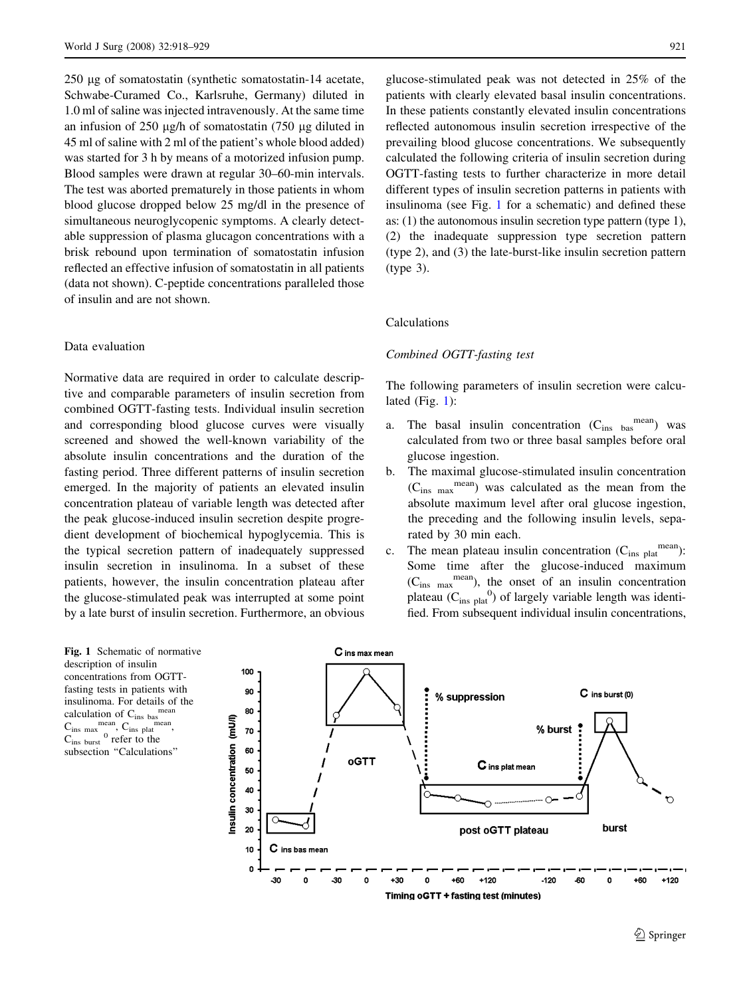<span id="page-3-0"></span>250 ug of somatostatin (synthetic somatostatin-14 acetate, Schwabe-Curamed Co., Karlsruhe, Germany) diluted in 1.0 ml of saline was injected intravenously. At the same time an infusion of  $250 \mu g/h$  of somatostatin (750  $\mu g$  diluted in 45 ml of saline with 2 ml of the patient's whole blood added) was started for 3 h by means of a motorized infusion pump. Blood samples were drawn at regular 30–60-min intervals. The test was aborted prematurely in those patients in whom blood glucose dropped below 25 mg/dl in the presence of simultaneous neuroglycopenic symptoms. A clearly detectable suppression of plasma glucagon concentrations with a brisk rebound upon termination of somatostatin infusion reflected an effective infusion of somatostatin in all patients (data not shown). C-peptide concentrations paralleled those of insulin and are not shown.

# Data evaluation

Normative data are required in order to calculate descriptive and comparable parameters of insulin secretion from combined OGTT-fasting tests. Individual insulin secretion and corresponding blood glucose curves were visually screened and showed the well-known variability of the absolute insulin concentrations and the duration of the fasting period. Three different patterns of insulin secretion emerged. In the majority of patients an elevated insulin concentration plateau of variable length was detected after the peak glucose-induced insulin secretion despite progredient development of biochemical hypoglycemia. This is the typical secretion pattern of inadequately suppressed insulin secretion in insulinoma. In a subset of these patients, however, the insulin concentration plateau after the glucose-stimulated peak was interrupted at some point by a late burst of insulin secretion. Furthermore, an obvious

Fig. 1 Schematic of normative description of insulin concentrations from OGTTfasting tests in patients with insulinoma. For details of the calculation of  $C_{ins\,bas}$ <sup>me</sup>  $C_{ins max}$  mean,  $C_{ins}$  mean,

 $C_{ins \text{ burst}}$ <sup>0</sup> refer to the subsection "Calculations" glucose-stimulated peak was not detected in 25% of the patients with clearly elevated basal insulin concentrations. In these patients constantly elevated insulin concentrations reflected autonomous insulin secretion irrespective of the prevailing blood glucose concentrations. We subsequently calculated the following criteria of insulin secretion during OGTT-fasting tests to further characterize in more detail different types of insulin secretion patterns in patients with insulinoma (see Fig. 1 for a schematic) and defined these as: (1) the autonomous insulin secretion type pattern (type 1), (2) the inadequate suppression type secretion pattern (type 2), and (3) the late-burst-like insulin secretion pattern (type 3).

## Calculations

#### Combined OGTT-fasting test

The following parameters of insulin secretion were calculated  $(Fig. 1)$ :

- a. The basal insulin concentration  $(C_{ins\,bas}^{mean})$  was calculated from two or three basal samples before oral glucose ingestion.
- b. The maximal glucose-stimulated insulin concentration  $(C_{ins max}^{mean})$  was calculated as the mean from the absolute maximum level after oral glucose ingestion, the preceding and the following insulin levels, separated by 30 min each.
- c. The mean plateau insulin concentration  $(C_{ins\ plate}^{mean})$ : Some time after the glucose-induced maximum  $(C_{ins \max}^{mean})$ , the onset of an insulin concentration plateau ( $C_{ins\text{ plat}}^0$ ) of largely variable length was identified. From subsequent individual insulin concentrations,

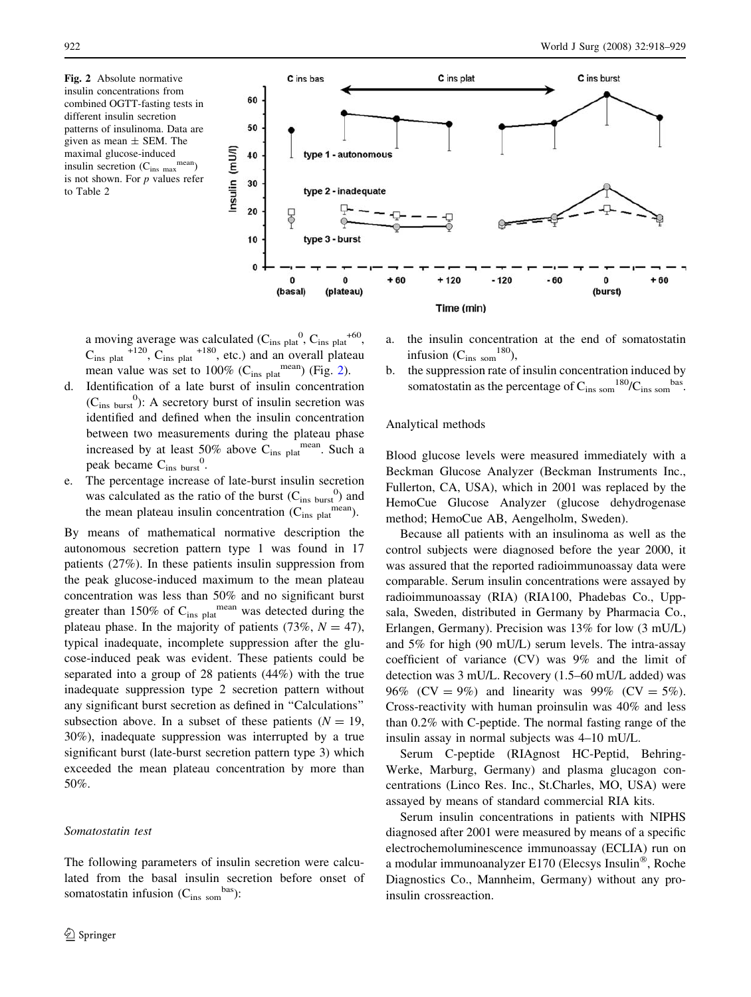<span id="page-4-0"></span>Fig. 2 Absolute normative insulin concentrations from combined OGTT-fasting tests in different insulin secretion patterns of insulinoma. Data are given as mean  $\pm$  SEM. The maximal glucose-induced insulin secretion  $(C_{ins\ max}^{mean})$ is not shown. For  $p$  values refer to Table 2



a moving average was calculated  $(C_{ins\ plat}^0, C_{ins\ plat}^{+60},$  $C_{ins\ plat}$ <sup>+120</sup>,  $C_{ins\ plat}$ <sup>+180</sup>, etc.) and an overall plateau mean value was set to 100% ( $C_{ins\text{ plat}}^{\text{mean}}$ ) (Fig. 2).

- d. Identification of a late burst of insulin concentration  $(C_{ins \text{ burst}}^0)$ : A secretory burst of insulin secretion was identified and defined when the insulin concentration between two measurements during the plateau phase increased by at least 50% above  $C_{ins\ plant}$ <sup>mean</sup>. Such a peak became  $C_{ins \text{ burst}}^0$ .
- e. The percentage increase of late-burst insulin secretion was calculated as the ratio of the burst  $(C_{ins \text{ burst}}^0)$  and the mean plateau insulin concentration  $(C_{ins\ plant}^{mean})$ .

By means of mathematical normative description the autonomous secretion pattern type 1 was found in 17 patients (27%). In these patients insulin suppression from the peak glucose-induced maximum to the mean plateau concentration was less than 50% and no significant burst greater than 150% of  $C_{ins\ plate}$ <sup>mean</sup> was detected during the plateau phase. In the majority of patients (73%,  $N = 47$ ), typical inadequate, incomplete suppression after the glucose-induced peak was evident. These patients could be separated into a group of 28 patients (44%) with the true inadequate suppression type 2 secretion pattern without any significant burst secretion as defined in ''Calculations'' subsection above. In a subset of these patients  $(N = 19,$ 30%), inadequate suppression was interrupted by a true significant burst (late-burst secretion pattern type 3) which exceeded the mean plateau concentration by more than 50%.

# Somatostatin test

The following parameters of insulin secretion were calculated from the basal insulin secretion before onset of somatostatin infusion  $(C_{ins, som}^{bas})$ :

- a. the insulin concentration at the end of somatostatin infusion  $(C_{ins som}^{180})$ ,
- b. the suppression rate of insulin concentration induced by somatostatin as the percentage of  $C_{ins\; som}^{180}/C_{ins\; som}^{bas}$ .

# Analytical methods

Blood glucose levels were measured immediately with a Beckman Glucose Analyzer (Beckman Instruments Inc., Fullerton, CA, USA), which in 2001 was replaced by the HemoCue Glucose Analyzer (glucose dehydrogenase method; HemoCue AB, Aengelholm, Sweden).

Because all patients with an insulinoma as well as the control subjects were diagnosed before the year 2000, it was assured that the reported radioimmunoassay data were comparable. Serum insulin concentrations were assayed by radioimmunoassay (RIA) (RIA100, Phadebas Co., Uppsala, Sweden, distributed in Germany by Pharmacia Co., Erlangen, Germany). Precision was 13% for low (3 mU/L) and 5% for high (90 mU/L) serum levels. The intra-assay coefficient of variance (CV) was 9% and the limit of detection was 3 mU/L. Recovery (1.5–60 mU/L added) was 96% (CV = 9%) and linearity was 99% (CV = 5%). Cross-reactivity with human proinsulin was 40% and less than 0.2% with C-peptide. The normal fasting range of the insulin assay in normal subjects was 4–10 mU/L.

Serum C-peptide (RIAgnost HC-Peptid, Behring-Werke, Marburg, Germany) and plasma glucagon concentrations (Linco Res. Inc., St.Charles, MO, USA) were assayed by means of standard commercial RIA kits.

Serum insulin concentrations in patients with NIPHS diagnosed after 2001 were measured by means of a specific electrochemoluminescence immunoassay (ECLIA) run on a modular immunoanalyzer E170 (Elecsys Insulin®, Roche Diagnostics Co., Mannheim, Germany) without any proinsulin crossreaction.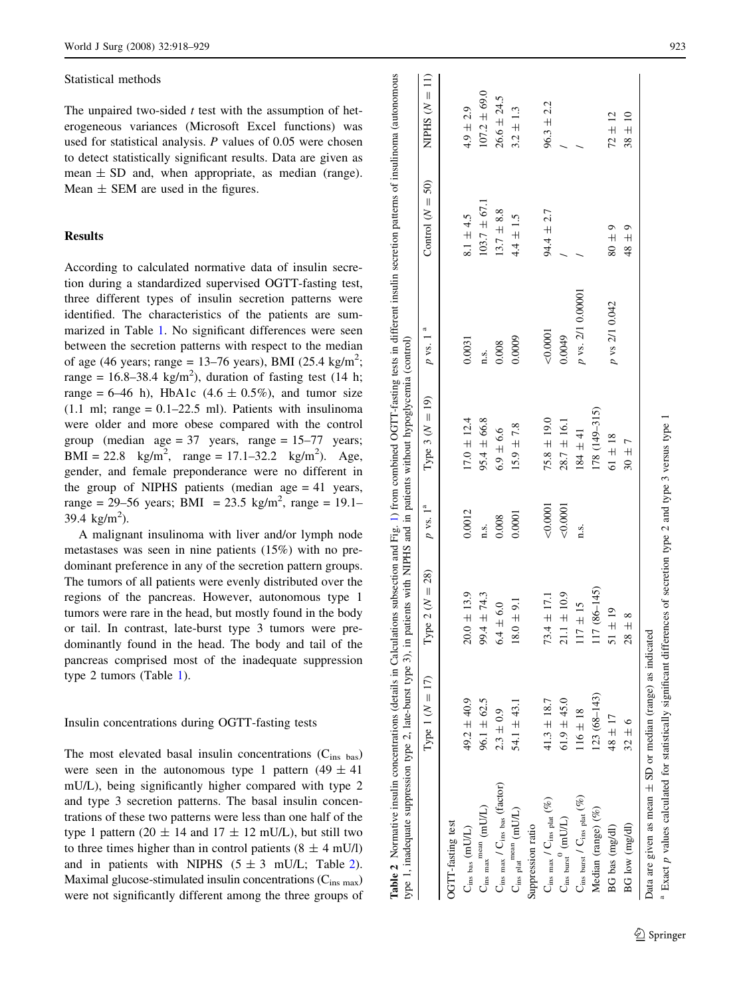#### <span id="page-5-0"></span>Statistical methods

The unpaired two-sided  $t$  test with the assumption of heterogeneous variances (Microsoft Excel functions) was used for statistical analysis. P values of 0.05 were chosen to detect statistically significant results. Data are given as mean  $\pm$  SD and, when appropriate, as median (range). Mean  $\pm$  SEM are used in the figures.

# **Results**

According to calculated normative data of insulin secretion during a standardized supervised OGTT-fasting test, three different types of insulin secretion patterns were identified. The characteristics of the patients are summarized in Table [1](#page-2-0). No significant differences were seen between the secretion patterns with respect to the median of age (46 years; range = 13–76 years), BMI (25.4 kg/m<sup>2</sup>; range = 16.8–38.4 kg/m<sup>2</sup>), duration of fasting test (14 h; range = 6–46 h), HbA1c (4.6  $\pm$  0.5%), and tumor size  $(1.1 \text{ ml}; \text{range} = 0.1 - 22.5 \text{ ml})$ . Patients with insulinoma were older and more obese compared with the control group (median age =  $37$  years, range =  $15-77$  years; BMI = 22.8 kg/m<sup>2</sup>, range = 17.1–32.2 kg/m<sup>2</sup>). Age, gender, and female preponderance were no different in the group of NIPHS patients (median age  $= 41$  years, range = 29–56 years; BMI = 23.5 kg/m<sup>2</sup>, range = 19.1– 39.4 kg/m<sup>2</sup>).

A malignant insulinoma with liver and/or lymph node metastases was seen in nine patients (15%) with no predominant preference in any of the secretion pattern groups. The tumors of all patients were evenly distributed over the regions of the pancreas. However, autonomous type 1 tumors were rare in the head, but mostly found in the body or tail. In contrast, late-burst type 3 tumors were predominantly found in the head. The body and tail of the pancreas comprised most of the inadequate suppression type 2 tumors (Table [1\)](#page-2-0).

#### Insulin concentrations during OGTT-fasting tests

The most elevated basal insulin concentrations  $(C_{ins\,bas})$ were seen in the autonomous type 1 pattern  $(49 \pm 41)$ mU/L), being significantly higher compared with type 2 and type 3 secretion patterns. The basal insulin concentrations of these two patterns were less than one half of the type 1 pattern (20  $\pm$  14 and 17  $\pm$  12 mU/L), but still two to three times higher than in control patients  $(8 \pm 4 \text{ mU/l})$ and in patients with NIPHS  $(5 \pm 3 \text{ mU/L};$  Table 2). Maximal glucose-stimulated insulin concentrations  $(C_{ins \, max})$ were not significantly different among the three groups of

|                                                        | Type 1 ( $N = 17$ ) | [ype 2 ( $N = 28$ ) | $p$ vs. $1^{\text{a}}$ | Type 3 ( $N = 19$ ) | $p$ vs. 1         | Control ( $N = 50$ ) | NIPHS $(N = 11)$ |
|--------------------------------------------------------|---------------------|---------------------|------------------------|---------------------|-------------------|----------------------|------------------|
| OGTT-fasting test                                      |                     |                     |                        |                     |                   |                      |                  |
| $\mathbf{C}_\mathrm{ins\ bas}\ (\mathrm{mUL})$         | 49.2 $\pm$ 40.9     | $20.0 \pm 13.9$     | 0.0012                 | $17.0 \pm 12.4$     | 0.0031            | $8.1 \pm 4.5$        | $4.9 \pm 2.9$    |
| $C_{ins\ max}^{\ \ \rm mean}$ (mU/L)                   | $96.1 \pm 62.5$     | $99.4 \pm 74.3$     | n.s.                   | $95.4 \pm 66.8$     | n.s.              | $103.7 \pm 67.1$     | $107.2 \pm 69.0$ |
| $C_{ins \, max}$ / $C_{ins \, bas}$ (factor)           | $2.3 \pm 0.9$       | $6.4 \pm 6.0$       | 0.008                  | $6.9 \pm 6.6$       | 0.008             | $13.7 \pm 8.8$       | $26.6 \pm 24.5$  |
| $\mathbf{C}_\mathrm{ins~plat}^{mean}$ (mU/L)           | $54.1 \pm 43.1$     | $8.0 \pm 9.1$       | 0.0001                 | $15.9 \pm 7.8$      | 0.0009            | $4.4 \pm 1.5$        | $3.2 \pm 1.3$    |
| Suppression ratio                                      |                     |                     |                        |                     |                   |                      |                  |
| $C_{ins max} / C_{ins part}$ (%)                       | $41.3 \pm 18.7$     | $73.4 \pm 17.1$     | 0.0001                 | $75.8 \pm 19.0$     | 0.0001            | $94.4 \pm 2.7$       | $96.3 \pm 2.2$   |
| $\mathbf{C}_{ins\ burst}^{\mathbf{0}}\ \mathrm{(mUL)}$ | $61.9 \pm 45.0$     | $21.1 \pm 10.9$     | 0.0001                 | $28.7 \pm 16.1$     | 0.0049            |                      |                  |
| $C_{ins\ burst}$ / $C_{ins\ plat}$ (%)                 | $116 \pm 18$        | $17 \pm 15$         | n.s.                   | $184 \pm 41$        | p vs. 2/1 0.00001 |                      |                  |
| Median (range) (%)                                     | $123(68 - 143)$     | $17(86-145)$        |                        | 178 (149-315)       |                   |                      |                  |
| BG bas (mg/dl)                                         | $48 \pm 17$         | $51 + 19$           |                        | $61 + 18$           | p vs 2/1 0.042    | $80 \pm 9$           | $72 \pm 12$      |
| BG low (mg/dl)                                         | $32 \pm 6$          | $28 \pm 8$          |                        | $30 \pm 7$          |                   | $48 \pm 9$           | $38 \pm 10$      |

 $\sim$ 

Exact p values calculated for statistically significant differences of secretion type 2 and type 3 versus type p values calculated for statistically significant differences of secretion type 2 and type 3 versus type 1

a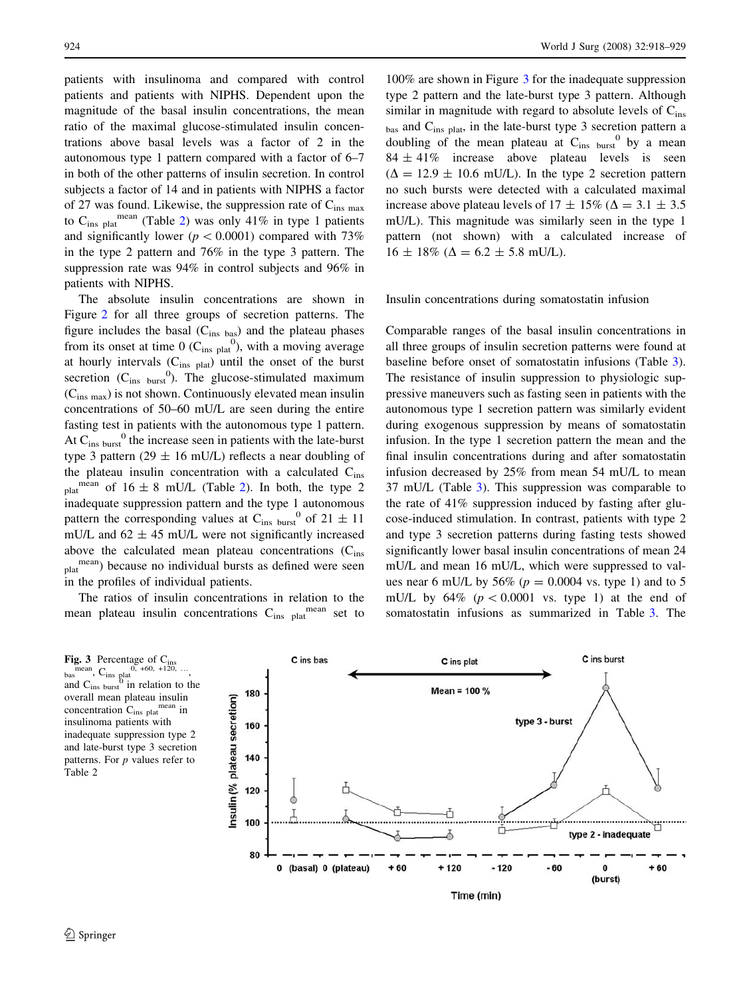patients with insulinoma and compared with control patients and patients with NIPHS. Dependent upon the magnitude of the basal insulin concentrations, the mean ratio of the maximal glucose-stimulated insulin concentrations above basal levels was a factor of 2 in the autonomous type 1 pattern compared with a factor of 6–7 in both of the other patterns of insulin secretion. In control subjects a factor of 14 and in patients with NIPHS a factor of 27 was found. Likewise, the suppression rate of  $C_{ins, max}$ to  $C_{ins}$  mean (Table [2](#page-5-0)) was only 41% in type 1 patients and significantly lower ( $p < 0.0001$ ) compared with 73% in the type 2 pattern and 76% in the type 3 pattern. The suppression rate was 94% in control subjects and 96% in patients with NIPHS.

The absolute insulin concentrations are shown in Figure [2](#page-4-0) for all three groups of secretion patterns. The figure includes the basal  $(C_{ins\,bas})$  and the plateau phases from its onset at time 0 ( $C_{ins\text{ plat}}^0$ ), with a moving average at hourly intervals  $(C_{ins\text{ plat}})$  until the onset of the burst secretion  $(C_{ins\_burst}^0)$ . The glucose-stimulated maximum  $(C_{ins max})$  is not shown. Continuously elevated mean insulin concentrations of 50–60 mU/L are seen during the entire fasting test in patients with the autonomous type 1 pattern. At  $C_{ins \text{ burst}}^0$  the increase seen in patients with the late-burst type 3 pattern (29  $\pm$  16 mU/L) reflects a near doubling of the plateau insulin concentration with a calculated  $C_{ins}$ mean of  $16 \pm 8$  mU/L (Table [2\)](#page-5-0). In both, the type 2 inadequate suppression pattern and the type 1 autonomous pattern the corresponding values at  $C_{ins \text{ burst}}^0$  of  $21 \pm 11$ mU/L and  $62 \pm 45$  mU/L were not significantly increased above the calculated mean plateau concentrations  $(C_{ins})$  $_{\text{plat}}^{\text{mean}}$ ) because no individual bursts as defined were seen in the profiles of individual patients.

The ratios of insulin concentrations in relation to the mean plateau insulin concentrations  $C_{ins}$   $_{\text{black}}^{\text{mean}}$  set to

100% are shown in Figure 3 for the inadequate suppression type 2 pattern and the late-burst type 3 pattern. Although similar in magnitude with regard to absolute levels of  $C_{ins}$  $_{\text{bas}}$  and  $\text{C}_{\text{ins plat}}$ , in the late-burst type 3 secretion pattern a doubling of the mean plateau at  $C_{ins}$  by a mean  $84 \pm 41\%$  increase above plateau levels is seen  $(\Delta = 12.9 \pm 10.6 \text{ mU/L})$ . In the type 2 secretion pattern no such bursts were detected with a calculated maximal increase above plateau levels of  $17 \pm 15\%$  ( $\Delta = 3.1 \pm 3.5$ mU/L). This magnitude was similarly seen in the type 1 pattern (not shown) with a calculated increase of  $16 \pm 18\%$  ( $\Delta = 6.2 \pm 5.8$  mU/L).

Insulin concentrations during somatostatin infusion

Comparable ranges of the basal insulin concentrations in all three groups of insulin secretion patterns were found at baseline before onset of somatostatin infusions (Table [3](#page-7-0)). The resistance of insulin suppression to physiologic suppressive maneuvers such as fasting seen in patients with the autonomous type 1 secretion pattern was similarly evident during exogenous suppression by means of somatostatin infusion. In the type 1 secretion pattern the mean and the final insulin concentrations during and after somatostatin infusion decreased by 25% from mean 54 mU/L to mean 37 mU/L (Table [3\)](#page-7-0). This suppression was comparable to the rate of 41% suppression induced by fasting after glucose-induced stimulation. In contrast, patients with type 2 and type 3 secretion patterns during fasting tests showed significantly lower basal insulin concentrations of mean 24 mU/L and mean 16 mU/L, which were suppressed to values near 6 mU/L by 56% ( $p = 0.0004$  vs. type 1) and to 5 mU/L by  $64\%$  ( $p < 0.0001$  vs. type 1) at the end of somatostatin infusions as summarized in Table [3](#page-7-0). The



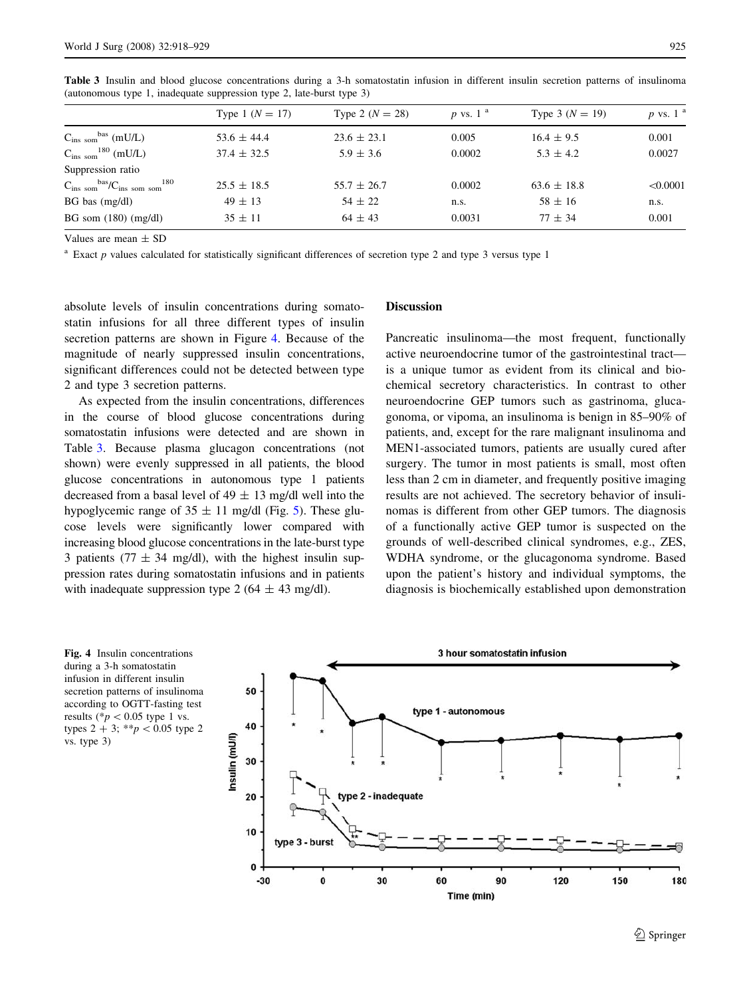|                                                                    | Type 1 $(N = 17)$ | Type 2 $(N = 28)$ | $p$ vs. 1 <sup>a</sup> | Type 3 $(N = 19)$ | $p$ vs. 1 $a$ |
|--------------------------------------------------------------------|-------------------|-------------------|------------------------|-------------------|---------------|
| $C_{ins, som}$ <sup>bas</sup> (mU/L)                               | $53.6 \pm 44.4$   | $23.6 \pm 23.1$   | 0.005                  | $16.4 \pm 9.5$    | 0.001         |
| $C_{ins~som}^{180}$ (mU/L)                                         | $37.4 \pm 32.5$   | $5.9 \pm 3.6$     | 0.0002                 | $5.3 \pm 4.2$     | 0.0027        |
| Suppression ratio                                                  |                   |                   |                        |                   |               |
| $C_{ins, som}$ <sup>bas</sup> / $C_{ins, som, som}$ <sup>180</sup> | $25.5 \pm 18.5$   | $55.7 \pm 26.7$   | 0.0002                 | $63.6 \pm 18.8$   | < 0.0001      |
| $BG$ bas $(mg/dl)$                                                 | $49 \pm 13$       | $54 \pm 22$       | n.s.                   | $58 \pm 16$       | n.s.          |
| BG som $(180)$ (mg/dl)                                             | $35 \pm 11$       | $64 \pm 43$       | 0.0031                 | $77 + 34$         | 0.001         |

<span id="page-7-0"></span>Table 3 Insulin and blood glucose concentrations during a 3-h somatostatin infusion in different insulin secretion patterns of insulinoma (autonomous type 1, inadequate suppression type 2, late-burst type 3)

Values are mean  $\pm$  SD

 $a$  Exact p values calculated for statistically significant differences of secretion type 2 and type 3 versus type 1

absolute levels of insulin concentrations during somatostatin infusions for all three different types of insulin secretion patterns are shown in Figure 4. Because of the magnitude of nearly suppressed insulin concentrations, significant differences could not be detected between type 2 and type 3 secretion patterns.

As expected from the insulin concentrations, differences in the course of blood glucose concentrations during somatostatin infusions were detected and are shown in Table 3. Because plasma glucagon concentrations (not shown) were evenly suppressed in all patients, the blood glucose concentrations in autonomous type 1 patients decreased from a basal level of  $49 \pm 13$  mg/dl well into the hypoglycemic range of  $35 \pm 11$  $35 \pm 11$  $35 \pm 11$  mg/dl (Fig. 5). These glucose levels were significantly lower compared with increasing blood glucose concentrations in the late-burst type 3 patients (77  $\pm$  34 mg/dl), with the highest insulin suppression rates during somatostatin infusions and in patients with inadequate suppression type 2 (64  $\pm$  43 mg/dl).

#### Discussion

Pancreatic insulinoma—the most frequent, functionally active neuroendocrine tumor of the gastrointestinal tract is a unique tumor as evident from its clinical and biochemical secretory characteristics. In contrast to other neuroendocrine GEP tumors such as gastrinoma, glucagonoma, or vipoma, an insulinoma is benign in 85–90% of patients, and, except for the rare malignant insulinoma and MEN1-associated tumors, patients are usually cured after surgery. The tumor in most patients is small, most often less than 2 cm in diameter, and frequently positive imaging results are not achieved. The secretory behavior of insulinomas is different from other GEP tumors. The diagnosis of a functionally active GEP tumor is suspected on the grounds of well-described clinical syndromes, e.g., ZES, WDHA syndrome, or the glucagonoma syndrome. Based upon the patient's history and individual symptoms, the diagnosis is biochemically established upon demonstration



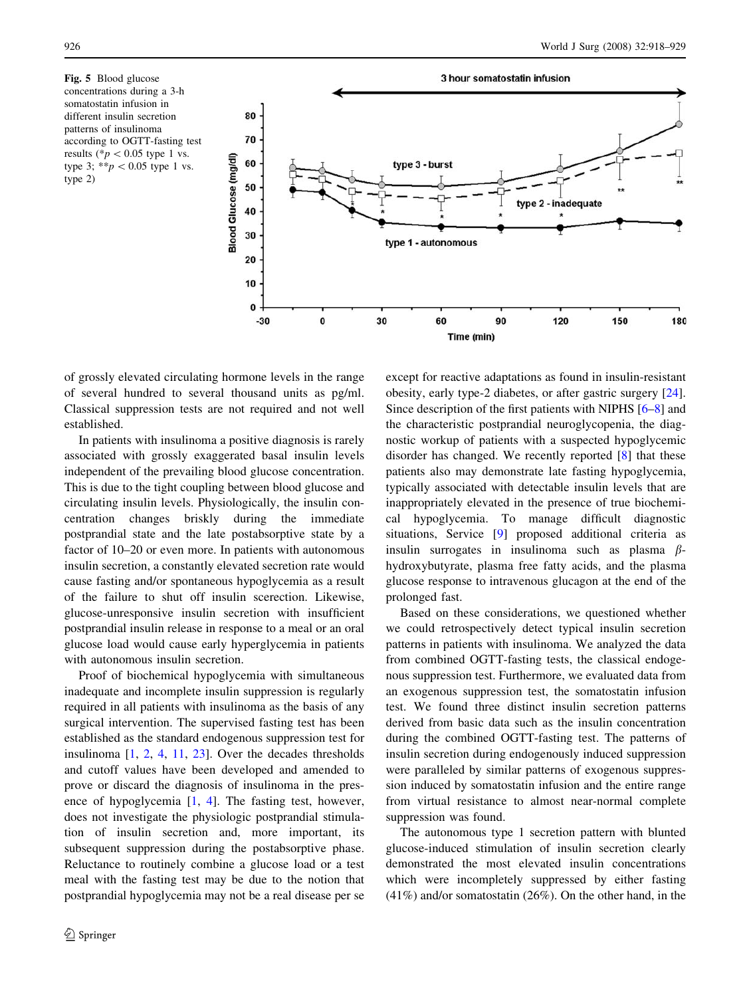<span id="page-8-0"></span>Fig. 5 Blood glucose concentrations during a 3-h somatostatin infusion in different insulin secretion patterns of insulinoma according to OGTT-fasting test results (\* $p < 0.05$  type 1 vs. type 3; \*\*p  $0.05$  type 1 vs. type 2)



of grossly elevated circulating hormone levels in the range of several hundred to several thousand units as pg/ml. Classical suppression tests are not required and not well established.

In patients with insulinoma a positive diagnosis is rarely associated with grossly exaggerated basal insulin levels independent of the prevailing blood glucose concentration. This is due to the tight coupling between blood glucose and circulating insulin levels. Physiologically, the insulin concentration changes briskly during the immediate postprandial state and the late postabsorptive state by a factor of 10–20 or even more. In patients with autonomous insulin secretion, a constantly elevated secretion rate would cause fasting and/or spontaneous hypoglycemia as a result of the failure to shut off insulin scerection. Likewise, glucose-unresponsive insulin secretion with insufficient postprandial insulin release in response to a meal or an oral glucose load would cause early hyperglycemia in patients with autonomous insulin secretion.

Proof of biochemical hypoglycemia with simultaneous inadequate and incomplete insulin suppression is regularly required in all patients with insulinoma as the basis of any surgical intervention. The supervised fasting test has been established as the standard endogenous suppression test for insulinoma [[1,](#page-10-0) [2,](#page-10-0) [4](#page-10-0), [11,](#page-10-0) [23\]](#page-10-0). Over the decades thresholds and cutoff values have been developed and amended to prove or discard the diagnosis of insulinoma in the presence of hypoglycemia [[1,](#page-10-0) [4\]](#page-10-0). The fasting test, however, does not investigate the physiologic postprandial stimulation of insulin secretion and, more important, its subsequent suppression during the postabsorptive phase. Reluctance to routinely combine a glucose load or a test meal with the fasting test may be due to the notion that postprandial hypoglycemia may not be a real disease per se except for reactive adaptations as found in insulin-resistant obesity, early type-2 diabetes, or after gastric surgery [\[24](#page-10-0)]. Since description of the first patients with NIPHS [\[6–8](#page-10-0)] and the characteristic postprandial neuroglycopenia, the diagnostic workup of patients with a suspected hypoglycemic disorder has changed. We recently reported [[8\]](#page-10-0) that these patients also may demonstrate late fasting hypoglycemia, typically associated with detectable insulin levels that are inappropriately elevated in the presence of true biochemical hypoglycemia. To manage difficult diagnostic situations, Service [\[9](#page-10-0)] proposed additional criteria as insulin surrogates in insulinoma such as plasma  $\beta$ hydroxybutyrate, plasma free fatty acids, and the plasma glucose response to intravenous glucagon at the end of the prolonged fast.

Based on these considerations, we questioned whether we could retrospectively detect typical insulin secretion patterns in patients with insulinoma. We analyzed the data from combined OGTT-fasting tests, the classical endogenous suppression test. Furthermore, we evaluated data from an exogenous suppression test, the somatostatin infusion test. We found three distinct insulin secretion patterns derived from basic data such as the insulin concentration during the combined OGTT-fasting test. The patterns of insulin secretion during endogenously induced suppression were paralleled by similar patterns of exogenous suppression induced by somatostatin infusion and the entire range from virtual resistance to almost near-normal complete suppression was found.

The autonomous type 1 secretion pattern with blunted glucose-induced stimulation of insulin secretion clearly demonstrated the most elevated insulin concentrations which were incompletely suppressed by either fasting (41%) and/or somatostatin (26%). On the other hand, in the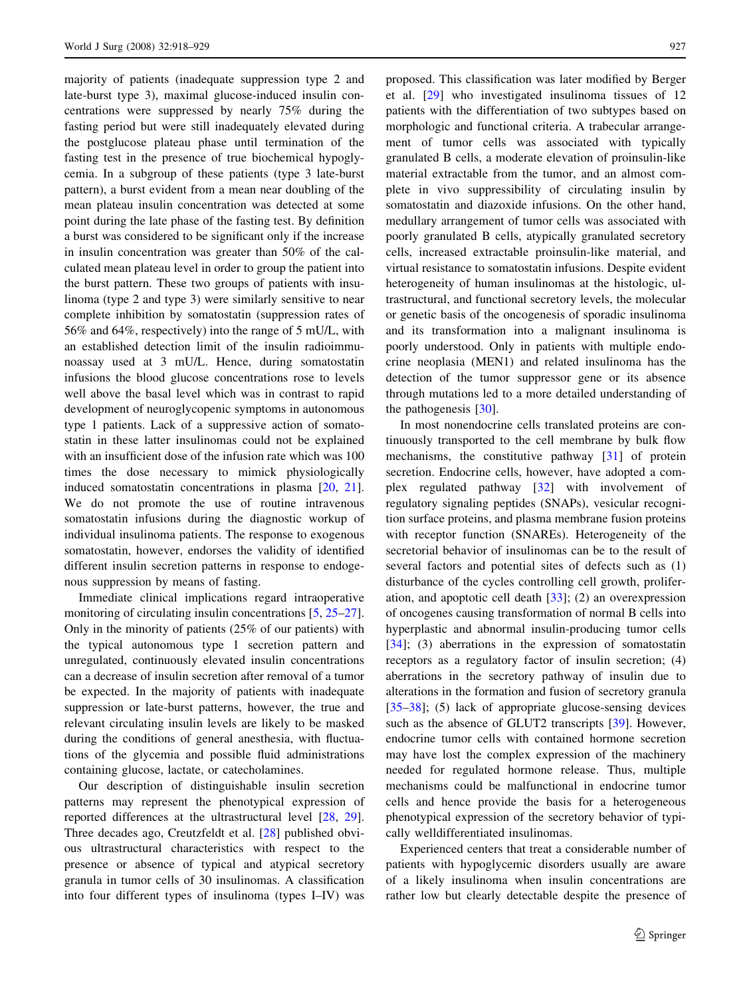majority of patients (inadequate suppression type 2 and late-burst type 3), maximal glucose-induced insulin concentrations were suppressed by nearly 75% during the fasting period but were still inadequately elevated during the postglucose plateau phase until termination of the fasting test in the presence of true biochemical hypoglycemia. In a subgroup of these patients (type 3 late-burst pattern), a burst evident from a mean near doubling of the mean plateau insulin concentration was detected at some point during the late phase of the fasting test. By definition a burst was considered to be significant only if the increase in insulin concentration was greater than 50% of the calculated mean plateau level in order to group the patient into the burst pattern. These two groups of patients with insulinoma (type 2 and type 3) were similarly sensitive to near complete inhibition by somatostatin (suppression rates of 56% and 64%, respectively) into the range of 5 mU/L, with an established detection limit of the insulin radioimmunoassay used at 3 mU/L. Hence, during somatostatin infusions the blood glucose concentrations rose to levels well above the basal level which was in contrast to rapid development of neuroglycopenic symptoms in autonomous type 1 patients. Lack of a suppressive action of somatostatin in these latter insulinomas could not be explained with an insufficient dose of the infusion rate which was 100 times the dose necessary to mimick physiologically induced somatostatin concentrations in plasma [[20,](#page-10-0) [21](#page-10-0)]. We do not promote the use of routine intravenous somatostatin infusions during the diagnostic workup of individual insulinoma patients. The response to exogenous somatostatin, however, endorses the validity of identified different insulin secretion patterns in response to endogenous suppression by means of fasting.

Immediate clinical implications regard intraoperative monitoring of circulating insulin concentrations [\[5](#page-10-0), [25–27](#page-10-0)]. Only in the minority of patients (25% of our patients) with the typical autonomous type 1 secretion pattern and unregulated, continuously elevated insulin concentrations can a decrease of insulin secretion after removal of a tumor be expected. In the majority of patients with inadequate suppression or late-burst patterns, however, the true and relevant circulating insulin levels are likely to be masked during the conditions of general anesthesia, with fluctuations of the glycemia and possible fluid administrations containing glucose, lactate, or catecholamines.

Our description of distinguishable insulin secretion patterns may represent the phenotypical expression of reported differences at the ultrastructural level [\[28](#page-10-0), [29](#page-10-0)]. Three decades ago, Creutzfeldt et al. [[28](#page-10-0)] published obvious ultrastructural characteristics with respect to the presence or absence of typical and atypical secretory granula in tumor cells of 30 insulinomas. A classification into four different types of insulinoma (types I–IV) was proposed. This classification was later modified by Berger et al. [[29\]](#page-10-0) who investigated insulinoma tissues of 12 patients with the differentiation of two subtypes based on morphologic and functional criteria. A trabecular arrangement of tumor cells was associated with typically granulated B cells, a moderate elevation of proinsulin-like material extractable from the tumor, and an almost complete in vivo suppressibility of circulating insulin by somatostatin and diazoxide infusions. On the other hand, medullary arrangement of tumor cells was associated with poorly granulated B cells, atypically granulated secretory cells, increased extractable proinsulin-like material, and virtual resistance to somatostatin infusions. Despite evident heterogeneity of human insulinomas at the histologic, ultrastructural, and functional secretory levels, the molecular or genetic basis of the oncogenesis of sporadic insulinoma and its transformation into a malignant insulinoma is poorly understood. Only in patients with multiple endocrine neoplasia (MEN1) and related insulinoma has the detection of the tumor suppressor gene or its absence through mutations led to a more detailed understanding of the pathogenesis [\[30](#page-10-0)].

In most nonendocrine cells translated proteins are continuously transported to the cell membrane by bulk flow mechanisms, the constitutive pathway [[31\]](#page-10-0) of protein secretion. Endocrine cells, however, have adopted a complex regulated pathway [\[32](#page-10-0)] with involvement of regulatory signaling peptides (SNAPs), vesicular recognition surface proteins, and plasma membrane fusion proteins with receptor function (SNAREs). Heterogeneity of the secretorial behavior of insulinomas can be to the result of several factors and potential sites of defects such as (1) disturbance of the cycles controlling cell growth, proliferation, and apoptotic cell death [[33\]](#page-10-0); (2) an overexpression of oncogenes causing transformation of normal B cells into hyperplastic and abnormal insulin-producing tumor cells [\[34](#page-10-0)]; (3) aberrations in the expression of somatostatin receptors as a regulatory factor of insulin secretion; (4) aberrations in the secretory pathway of insulin due to alterations in the formation and fusion of secretory granula [\[35–38](#page-11-0)]; (5) lack of appropriate glucose-sensing devices such as the absence of GLUT2 transcripts [[39\]](#page-11-0). However, endocrine tumor cells with contained hormone secretion may have lost the complex expression of the machinery needed for regulated hormone release. Thus, multiple mechanisms could be malfunctional in endocrine tumor cells and hence provide the basis for a heterogeneous phenotypical expression of the secretory behavior of typically welldifferentiated insulinomas.

Experienced centers that treat a considerable number of patients with hypoglycemic disorders usually are aware of a likely insulinoma when insulin concentrations are rather low but clearly detectable despite the presence of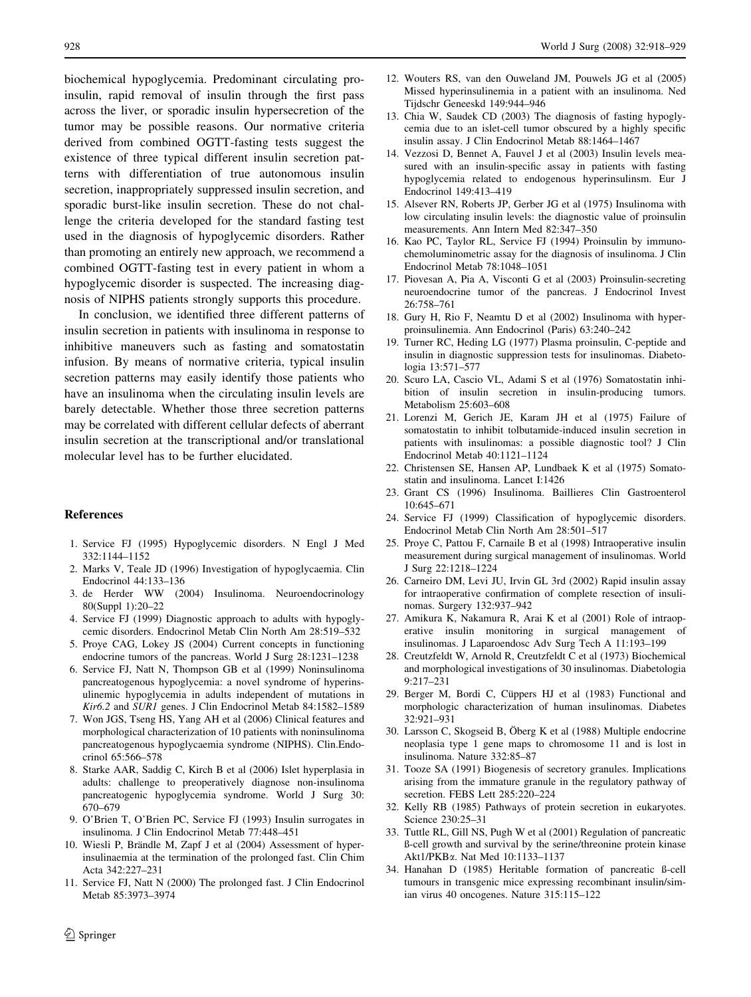<span id="page-10-0"></span>biochemical hypoglycemia. Predominant circulating proinsulin, rapid removal of insulin through the first pass across the liver, or sporadic insulin hypersecretion of the tumor may be possible reasons. Our normative criteria derived from combined OGTT-fasting tests suggest the existence of three typical different insulin secretion patterns with differentiation of true autonomous insulin secretion, inappropriately suppressed insulin secretion, and sporadic burst-like insulin secretion. These do not challenge the criteria developed for the standard fasting test used in the diagnosis of hypoglycemic disorders. Rather than promoting an entirely new approach, we recommend a combined OGTT-fasting test in every patient in whom a hypoglycemic disorder is suspected. The increasing diagnosis of NIPHS patients strongly supports this procedure.

In conclusion, we identified three different patterns of insulin secretion in patients with insulinoma in response to inhibitive maneuvers such as fasting and somatostatin infusion. By means of normative criteria, typical insulin secretion patterns may easily identify those patients who have an insulinoma when the circulating insulin levels are barely detectable. Whether those three secretion patterns may be correlated with different cellular defects of aberrant insulin secretion at the transcriptional and/or translational molecular level has to be further elucidated.

## References

- 1. Service FJ (1995) Hypoglycemic disorders. N Engl J Med 332:1144–1152
- 2. Marks V, Teale JD (1996) Investigation of hypoglycaemia. Clin Endocrinol 44:133–136
- 3. de Herder WW (2004) Insulinoma. Neuroendocrinology 80(Suppl 1):20–22
- 4. Service FJ (1999) Diagnostic approach to adults with hypoglycemic disorders. Endocrinol Metab Clin North Am 28:519–532
- 5. Proye CAG, Lokey JS (2004) Current concepts in functioning endocrine tumors of the pancreas. World J Surg 28:1231–1238
- 6. Service FJ, Natt N, Thompson GB et al (1999) Noninsulinoma pancreatogenous hypoglycemia: a novel syndrome of hyperinsulinemic hypoglycemia in adults independent of mutations in Kir6.2 and SUR1 genes. J Clin Endocrinol Metab 84:1582–1589
- 7. Won JGS, Tseng HS, Yang AH et al (2006) Clinical features and morphological characterization of 10 patients with noninsulinoma pancreatogenous hypoglycaemia syndrome (NIPHS). Clin.Endocrinol 65:566–578
- 8. Starke AAR, Saddig C, Kirch B et al (2006) Islet hyperplasia in adults: challenge to preoperatively diagnose non-insulinoma pancreatogenic hypoglycemia syndrome. World J Surg 30: 670–679
- 9. O'Brien T, O'Brien PC, Service FJ (1993) Insulin surrogates in insulinoma. J Clin Endocrinol Metab 77:448–451
- 10. Wiesli P, Brändle M, Zapf J et al (2004) Assessment of hyperinsulinaemia at the termination of the prolonged fast. Clin Chim Acta 342:227–231
- 11. Service FJ, Natt N (2000) The prolonged fast. J Clin Endocrinol Metab 85:3973–3974
- 12. Wouters RS, van den Ouweland JM, Pouwels JG et al (2005) Missed hyperinsulinemia in a patient with an insulinoma. Ned Tijdschr Geneeskd 149:944–946
- 13. Chia W, Saudek CD (2003) The diagnosis of fasting hypoglycemia due to an islet-cell tumor obscured by a highly specific insulin assay. J Clin Endocrinol Metab 88:1464–1467
- 14. Vezzosi D, Bennet A, Fauvel J et al (2003) Insulin levels measured with an insulin-specific assay in patients with fasting hypoglycemia related to endogenous hyperinsulinsm. Eur J Endocrinol 149:413–419
- 15. Alsever RN, Roberts JP, Gerber JG et al (1975) Insulinoma with low circulating insulin levels: the diagnostic value of proinsulin measurements. Ann Intern Med 82:347–350
- 16. Kao PC, Taylor RL, Service FJ (1994) Proinsulin by immunochemoluminometric assay for the diagnosis of insulinoma. J Clin Endocrinol Metab 78:1048–1051
- 17. Piovesan A, Pia A, Visconti G et al (2003) Proinsulin-secreting neuroendocrine tumor of the pancreas. J Endocrinol Invest 26:758–761
- 18. Gury H, Rio F, Neamtu D et al (2002) Insulinoma with hyperproinsulinemia. Ann Endocrinol (Paris) 63:240–242
- 19. Turner RC, Heding LG (1977) Plasma proinsulin, C-peptide and insulin in diagnostic suppression tests for insulinomas. Diabetologia 13:571–577
- 20. Scuro LA, Cascio VL, Adami S et al (1976) Somatostatin inhibition of insulin secretion in insulin-producing tumors. Metabolism 25:603–608
- 21. Lorenzi M, Gerich JE, Karam JH et al (1975) Failure of somatostatin to inhibit tolbutamide-induced insulin secretion in patients with insulinomas: a possible diagnostic tool? J Clin Endocrinol Metab 40:1121–1124
- 22. Christensen SE, Hansen AP, Lundbaek K et al (1975) Somatostatin and insulinoma. Lancet I:1426
- 23. Grant CS (1996) Insulinoma. Baillieres Clin Gastroenterol 10:645–671
- 24. Service FJ (1999) Classification of hypoglycemic disorders. Endocrinol Metab Clin North Am 28:501–517
- 25. Proye C, Pattou F, Carnaile B et al (1998) Intraoperative insulin measurement during surgical management of insulinomas. World J Surg 22:1218–1224
- 26. Carneiro DM, Levi JU, Irvin GL 3rd (2002) Rapid insulin assay for intraoperative confirmation of complete resection of insulinomas. Surgery 132:937–942
- 27. Amikura K, Nakamura R, Arai K et al (2001) Role of intraoperative insulin monitoring in surgical management of insulinomas. J Laparoendosc Adv Surg Tech A 11:193–199
- 28. Creutzfeldt W, Arnold R, Creutzfeldt C et al (1973) Biochemical and morphological investigations of 30 insulinomas. Diabetologia 9:217–231
- 29. Berger M, Bordi C, Cüppers HJ et al (1983) Functional and morphologic characterization of human insulinomas. Diabetes 32:921–931
- 30. Larsson C, Skogseid B, Öberg K et al (1988) Multiple endocrine neoplasia type 1 gene maps to chromosome 11 and is lost in insulinoma. Nature 332:85–87
- 31. Tooze SA (1991) Biogenesis of secretory granules. Implications arising from the immature granule in the regulatory pathway of secretion. FEBS Lett 285:220–224
- 32. Kelly RB (1985) Pathways of protein secretion in eukaryotes. Science 230:25–31
- 33. Tuttle RL, Gill NS, Pugh W et al (2001) Regulation of pancreatic ß-cell growth and survival by the serine/threonine protein kinase Akt1/PKBa. Nat Med 10:1133–1137
- 34. Hanahan D (1985) Heritable formation of pancreatic ß-cell tumours in transgenic mice expressing recombinant insulin/simian virus 40 oncogenes. Nature 315:115–122